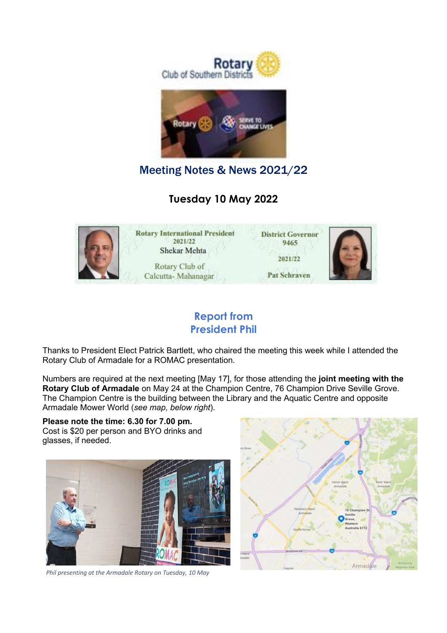

Meeting Notes & News 2021/22

**Tuesday 10 May 2022**



### **Report from President Phil**

Thanks to President Elect Patrick Bartlett, who chaired the meeting this week while I attended the Rotary Club of Armadale for a ROMAC presentation.

Numbers are required at the next meeting [May 17], for those attending the **joint meeting with the Rotary Club of Armadale** on May 24 at the Champion Centre, 76 Champion Drive Seville Grove. The Champion Centre is the building between the Library and the Aquatic Centre and opposite Armadale Mower World (*see map, below right*).

**Please note the time: 6.30 for 7.00 pm.** Cost is \$20 per person and BYO drinks and glasses, if needed.



*Phil presenting at the Armadale Rotary on Tuesday, 10 May*

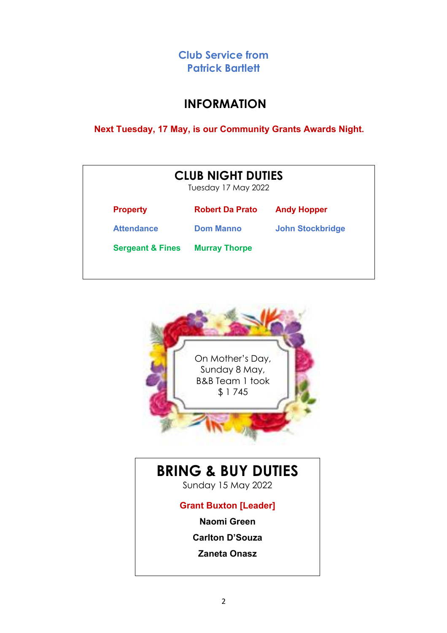**Club Service from Patrick Bartlett**

### **INFORMATION**

 **Next Tuesday, 17 May, is our Community Grants Awards Night.**

| <b>CLUB NIGHT DUTIES</b><br>Tuesday 17 May 2022 |                        |                         |
|-------------------------------------------------|------------------------|-------------------------|
| <b>Property</b>                                 | <b>Robert Da Prato</b> | <b>Andy Hopper</b>      |
| <b>Attendance</b>                               | <b>Dom Manno</b>       | <b>John Stockbridge</b> |
| <b>Sergeant &amp; Fines</b>                     | <b>Murray Thorpe</b>   |                         |



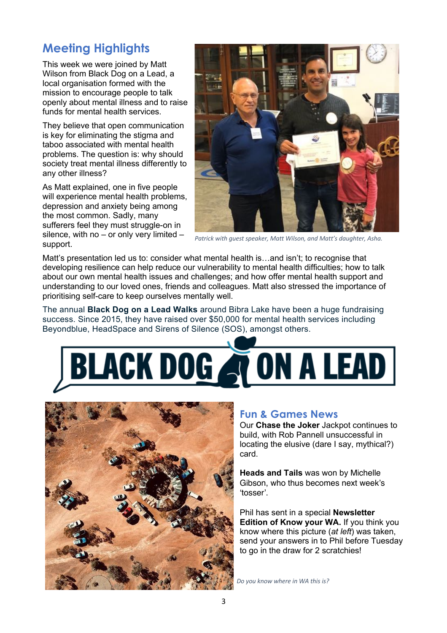## **Meeting Highlights**

This week we were joined by Matt Wilson from Black Dog on a Lead, a local organisation formed with the mission to encourage people to talk openly about mental illness and to raise funds for mental health services.

They believe that open communication is key for eliminating the stigma and taboo associated with mental health problems. The question is: why should society treat mental illness differently to any other illness?

As Matt explained, one in five people will experience mental health problems, depression and anxiety being among the most common. Sadly, many sufferers feel they must struggle-on in silence, with no – or only very limited – support.



*Patrick with guest speaker, Matt Wilson, and Matt's daughter, Asha.*

Matt's presentation led us to: consider what mental health is…and isn't; to recognise that developing resilience can help reduce our vulnerability to mental health difficulties; how to talk about our own mental health issues and challenges; and how offer mental health support and understanding to our loved ones, friends and colleagues. Matt also stressed the importance of prioritising self-care to keep ourselves mentally well.

The annual **Black Dog on a Lead Walks** around Bibra Lake have been a huge fundraising success. Since 2015, they have raised over \$50,000 for mental health services including Beyondblue, HeadSpace and Sirens of Silence (SOS), amongst others.





#### **Fun & Games News**

Our **Chase the Joker** Jackpot continues to build, with Rob Pannell unsuccessful in locating the elusive (dare I say, mythical?) card.

**Heads and Tails** was won by Michelle Gibson, who thus becomes next week's 'tosser'.

Phil has sent in a special **Newsletter Edition of Know your WA.** If you think you know where this picture (*at left*) was taken, send your answers in to Phil before Tuesday to go in the draw for 2 scratchies!

*Do you know where in WA this is?*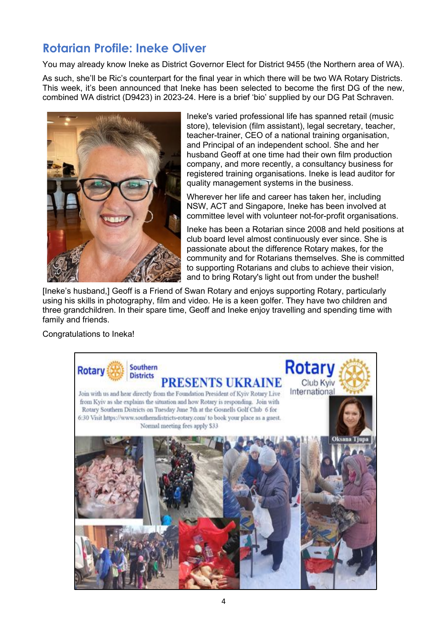## **Rotarian Profile: Ineke Oliver**

You may already know Ineke as District Governor Elect for District 9455 (the Northern area of WA).

As such, she'll be Ric's counterpart for the final year in which there will be two WA Rotary Districts. This week, it's been announced that Ineke has been selected to become the first DG of the new, combined WA district (D9423) in 2023-24. Here is a brief 'bio' supplied by our DG Pat Schraven.



Ineke's varied professional life has spanned retail (music store), television (film assistant), legal secretary, teacher, teacher-trainer, CEO of a national training organisation, and Principal of an independent school. She and her husband Geoff at one time had their own film production company, and more recently, a consultancy business for registered training organisations. Ineke is lead auditor for quality management systems in the business.

Wherever her life and career has taken her, including NSW, ACT and Singapore, Ineke has been involved at committee level with volunteer not-for-profit organisations.

Ineke has been a Rotarian since 2008 and held positions at club board level almost continuously ever since. She is passionate about the difference Rotary makes, for the community and for Rotarians themselves. She is committed to supporting Rotarians and clubs to achieve their vision, and to bring Rotary's light out from under the bushel!

[Ineke's husband,] Geoff is a Friend of Swan Rotary and enjoys supporting Rotary, particularly using his skills in photography, film and video. He is a keen golfer. They have two children and three grandchildren. In their spare time, Geoff and Ineke enjoy travelling and spending time with family and friends.

Congratulations to Ineka!

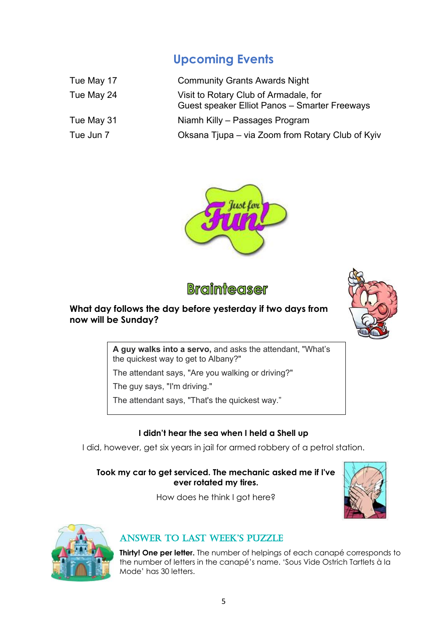# **Upcoming Events**

| Tue May 17 | <b>Community Grants Awards Night</b>                                                   |
|------------|----------------------------------------------------------------------------------------|
| Tue May 24 | Visit to Rotary Club of Armadale, for<br>Guest speaker Elliot Panos - Smarter Freeways |
| Tue May 31 | Niamh Killy - Passages Program                                                         |
| Tue Jun 7  | Oksana Tjupa – via Zoom from Rotary Club of Kyiv                                       |





### **What day follows the day before yesterday if two days from now will be Sunday?**



**A guy walks into a servo,** and asks the attendant, "What's the quickest way to get to Albany?"

The attendant says, "Are you walking or driving?"

The guy says, "I'm driving."

The attendant says, "That's the quickest way."

#### **I didn't hear the sea when I held a Shell up**

I did, however, get six years in jail for armed robbery of a petrol station.

#### **Took my car to get serviced. The mechanic asked me if I've ever rotated my tires.**

How does he think I got here?





### ANSWER TO LAST WEEK'S PUZZLE

**Thirty! One per letter.** The number of helpings of each canapé corresponds to the number of letters in the canapé's name. 'Sous Vide Ostrich Tartlets à la Mode' has 30 letters.